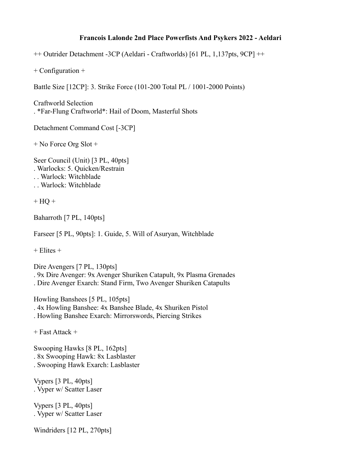## **Francois Lalonde 2nd Place Powerfists And Psykers 2022 - Aeldari**

++ Outrider Detachment -3CP (Aeldari - Craftworlds) [61 PL, 1,137pts, 9CP] ++

+ Configuration +

Battle Size [12CP]: 3. Strike Force (101-200 Total PL / 1001-2000 Points)

Craftworld Selection . \*Far-Flung Craftworld\*: Hail of Doom, Masterful Shots

Detachment Command Cost [-3CP]

+ No Force Org Slot +

Seer Council (Unit) [3 PL, 40pts] . Warlocks: 5. Quicken/Restrain . . Warlock: Witchblade . . Warlock: Witchblade

 $+$  HQ  $+$ 

Baharroth [7 PL, 140pts]

Farseer [5 PL, 90pts]: 1. Guide, 5. Will of Asuryan, Witchblade

 $+$  Elites  $+$ 

Dire Avengers [7 PL, 130pts] . 9x Dire Avenger: 9x Avenger Shuriken Catapult, 9x Plasma Grenades . Dire Avenger Exarch: Stand Firm, Two Avenger Shuriken Catapults

Howling Banshees [5 PL, 105pts] . 4x Howling Banshee: 4x Banshee Blade, 4x Shuriken Pistol . Howling Banshee Exarch: Mirrorswords, Piercing Strikes

+ Fast Attack +

Swooping Hawks [8 PL, 162pts] . 8x Swooping Hawk: 8x Lasblaster . Swooping Hawk Exarch: Lasblaster

Vypers [3 PL, 40pts] . Vyper w/ Scatter Laser

Vypers [3 PL, 40pts] . Vyper w/ Scatter Laser

Windriders [12 PL, 270pts]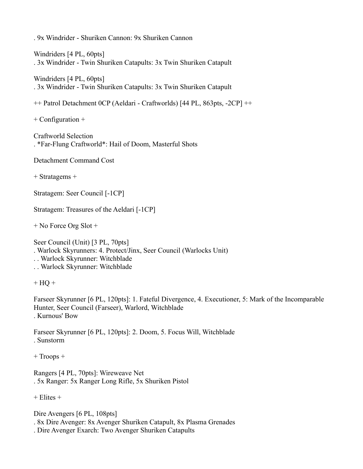. 9x Windrider - Shuriken Cannon: 9x Shuriken Cannon

Windriders [4 PL, 60pts] . 3x Windrider - Twin Shuriken Catapults: 3x Twin Shuriken Catapult

Windriders [4 PL, 60pts] . 3x Windrider - Twin Shuriken Catapults: 3x Twin Shuriken Catapult

++ Patrol Detachment 0CP (Aeldari - Craftworlds) [44 PL, 863pts, -2CP] ++

+ Configuration +

Craftworld Selection . \*Far-Flung Craftworld\*: Hail of Doom, Masterful Shots

Detachment Command Cost

+ Stratagems +

Stratagem: Seer Council [-1CP]

Stratagem: Treasures of the Aeldari [-1CP]

+ No Force Org Slot +

Seer Council (Unit) [3 PL, 70pts]

. Warlock Skyrunners: 4. Protect/Jinx, Seer Council (Warlocks Unit)

. . Warlock Skyrunner: Witchblade

. . Warlock Skyrunner: Witchblade

 $+$  HQ  $+$ 

Farseer Skyrunner [6 PL, 120pts]: 1. Fateful Divergence, 4. Executioner, 5: Mark of the Incomparable Hunter, Seer Council (Farseer), Warlord, Witchblade . Kurnous' Bow

Farseer Skyrunner [6 PL, 120pts]: 2. Doom, 5. Focus Will, Witchblade . Sunstorm

+ Troops +

Rangers [4 PL, 70pts]: Wireweave Net . 5x Ranger: 5x Ranger Long Rifle, 5x Shuriken Pistol

 $+$  Elites  $+$ 

Dire Avengers [6 PL, 108pts]

. 8x Dire Avenger: 8x Avenger Shuriken Catapult, 8x Plasma Grenades

. Dire Avenger Exarch: Two Avenger Shuriken Catapults